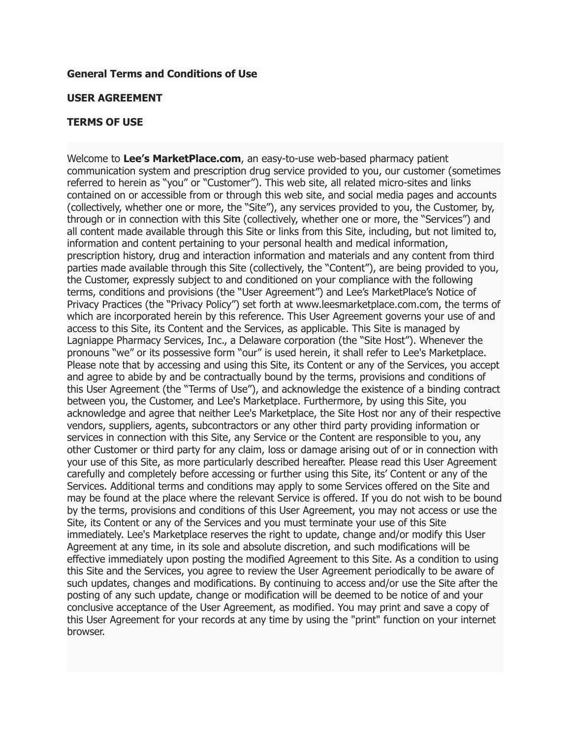#### **General Terms and Conditions of Use**

#### **USER AGREEMENT**

#### **TERMS OF USE**

Welcome to **Lee's MarketPlace.com**, an easy-to-use web-based pharmacy patient communication system and prescription drug service provided to you, our customer (sometimes referred to herein as "you" or "Customer"). This web site, all related micro-sites and links contained on or accessible from or through this web site, and social media pages and accounts (collectively, whether one or more, the "Site"), any services provided to you, the Customer, by, through or in connection with this Site (collectively, whether one or more, the "Services") and all content made available through this Site or links from this Site, including, but not limited to, information and content pertaining to your personal health and medical information, prescription history, drug and interaction information and materials and any content from third parties made available through this Site (collectively, the "Content"), are being provided to you, the Customer, expressly subject to and conditioned on your compliance with the following terms, conditions and provisions (the "User Agreement") and Lee's MarketPlace's Notice of Privacy Practices (the "Privacy Policy") set forth at [www.leesmarketplace.com.com](https://www.mypharmacyconnect.com/Home/PrivacyPolicy?StoreToken=61D9F4DF-5AEE-4863-91DE-EAE042224A28), the terms of which are incorporated herein by this reference. This User Agreement governs your use of and access to this Site, its Content and the Services, as applicable. This Site is managed by Lagniappe Pharmacy Services, Inc., a Delaware corporation (the "Site Host"). Whenever the pronouns "we" or its possessive form "our" is used herein, it shall refer to Lee's Marketplace. Please note that by accessing and using this Site, its Content or any of the Services, you accept and agree to abide by and be contractually bound by the terms, provisions and conditions of this User Agreement (the "Terms of Use"), and acknowledge the existence of a binding contract between you, the Customer, and Lee's Marketplace. Furthermore, by using this Site, you acknowledge and agree that neither Lee's Marketplace, the Site Host nor any of their respective vendors, suppliers, agents, subcontractors or any other third party providing information or services in connection with this Site, any Service or the Content are responsible to you, any other Customer or third party for any claim, loss or damage arising out of or in connection with your use of this Site, as more particularly described hereafter. Please read this User Agreement carefully and completely before accessing or further using this Site, its' Content or any of the Services. Additional terms and conditions may apply to some Services offered on the Site and may be found at the place where the relevant Service is offered. If you do not wish to be bound by the terms, provisions and conditions of this User Agreement, you may not access or use the Site, its Content or any of the Services and you must terminate your use of this Site immediately. Lee's Marketplace reserves the right to update, change and/or modify this User Agreement at any time, in its sole and absolute discretion, and such modifications will be effective immediately upon posting the modified Agreement to this Site. As a condition to using this Site and the Services, you agree to review the User Agreement periodically to be aware of such updates, changes and modifications. By continuing to access and/or use the Site after the posting of any such update, change or modification will be deemed to be notice of and your conclusive acceptance of the User Agreement, as modified. You may print and save a copy of this User Agreement for your records at any time by using the "print" function on your internet browser.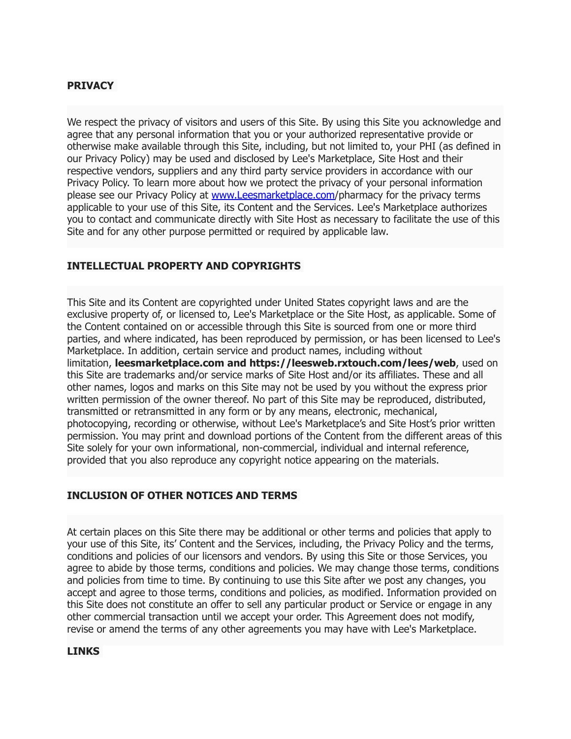# **PRIVACY**

We respect the privacy of visitors and users of this Site. By using this Site you acknowledge and agree that any personal information that you or your authorized representative provide or otherwise make available through this Site, including, but not limited to, your PHI (as defined in our Privacy Policy) may be used and disclosed by Lee's Marketplace, Site Host and their respective vendors, suppliers and any third party service providers in accordance with our Privacy Policy. To learn more about how we protect the privacy of your personal information please see our Privacy Policy at [www.Leesmarketplace.com](http://www.Leesmarketplace.com)/pharmacy for the privacy terms applicable to your use of this Site, its Content and the Services. Lee's Marketplace authorizes you to contact and communicate directly with Site Host as necessary to facilitate the use of this Site and for any other purpose permitted or required by applicable law.

# **INTELLECTUAL PROPERTY AND COPYRIGHTS**

This Site and its Content are copyrighted under United States copyright laws and are the exclusive property of, or licensed to, Lee's Marketplace or the Site Host, as applicable. Some of the Content contained on or accessible through this Site is sourced from one or more third parties, and where indicated, has been reproduced by permission, or has been licensed to Lee's Marketplace. In addition, certain service and product names, including without limitation, **leesmarketplace.com and https://leesweb.rxtouch.com/lees/web**, used on this Site are trademarks and/or service marks of Site Host and/or its affiliates. These and all other names, logos and marks on this Site may not be used by you without the express prior written permission of the owner thereof. No part of this Site may be reproduced, distributed, transmitted or retransmitted in any form or by any means, electronic, mechanical, photocopying, recording or otherwise, without Lee's Marketplace's and Site Host's prior written permission. You may print and download portions of the Content from the different areas of this Site solely for your own informational, non-commercial, individual and internal reference, provided that you also reproduce any copyright notice appearing on the materials.

# **INCLUSION OF OTHER NOTICES AND TERMS**

At certain places on this Site there may be additional or other terms and policies that apply to your use of this Site, its' Content and the Services, including, the Privacy Policy and the terms, conditions and policies of our licensors and vendors. By using this Site or those Services, you agree to abide by those terms, conditions and policies. We may change those terms, conditions and policies from time to time. By continuing to use this Site after we post any changes, you accept and agree to those terms, conditions and policies, as modified. Information provided on this Site does not constitute an offer to sell any particular product or Service or engage in any other commercial transaction until we accept your order. This Agreement does not modify, revise or amend the terms of any other agreements you may have with Lee's Marketplace.

#### **LINKS**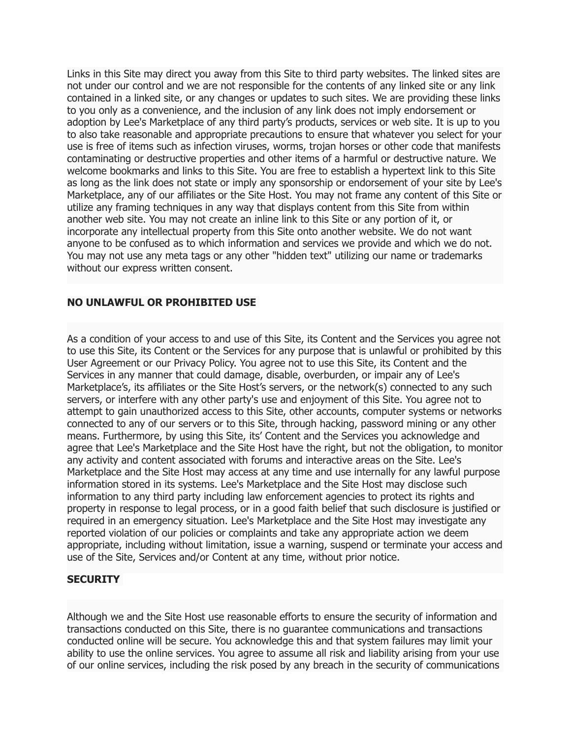Links in this Site may direct you away from this Site to third party websites. The linked sites are not under our control and we are not responsible for the contents of any linked site or any link contained in a linked site, or any changes or updates to such sites. We are providing these links to you only as a convenience, and the inclusion of any link does not imply endorsement or adoption by Lee's Marketplace of any third party's products, services or web site. It is up to you to also take reasonable and appropriate precautions to ensure that whatever you select for your use is free of items such as infection viruses, worms, trojan horses or other code that manifests contaminating or destructive properties and other items of a harmful or destructive nature. We welcome bookmarks and links to this Site. You are free to establish a hypertext link to this Site as long as the link does not state or imply any sponsorship or endorsement of your site by Lee's Marketplace, any of our affiliates or the Site Host. You may not frame any content of this Site or utilize any framing techniques in any way that displays content from this Site from within another web site. You may not create an inline link to this Site or any portion of it, or incorporate any intellectual property from this Site onto another website. We do not want anyone to be confused as to which information and services we provide and which we do not. You may not use any meta tags or any other "hidden text" utilizing our name or trademarks without our express written consent.

#### **NO UNLAWFUL OR PROHIBITED USE**

As a condition of your access to and use of this Site, its Content and the Services you agree not to use this Site, its Content or the Services for any purpose that is unlawful or prohibited by this User Agreement or our Privacy Policy. You agree not to use this Site, its Content and the Services in any manner that could damage, disable, overburden, or impair any of Lee's Marketplace's, its affiliates or the Site Host's servers, or the network(s) connected to any such servers, or interfere with any other party's use and enjoyment of this Site. You agree not to attempt to gain unauthorized access to this Site, other accounts, computer systems or networks connected to any of our servers or to this Site, through hacking, password mining or any other means. Furthermore, by using this Site, its' Content and the Services you acknowledge and agree that Lee's Marketplace and the Site Host have the right, but not the obligation, to monitor any activity and content associated with forums and interactive areas on the Site. Lee's Marketplace and the Site Host may access at any time and use internally for any lawful purpose information stored in its systems. Lee's Marketplace and the Site Host may disclose such information to any third party including law enforcement agencies to protect its rights and property in response to legal process, or in a good faith belief that such disclosure is justified or required in an emergency situation. Lee's Marketplace and the Site Host may investigate any reported violation of our policies or complaints and take any appropriate action we deem appropriate, including without limitation, issue a warning, suspend or terminate your access and use of the Site, Services and/or Content at any time, without prior notice.

# **SECURITY**

Although we and the Site Host use reasonable efforts to ensure the security of information and transactions conducted on this Site, there is no guarantee communications and transactions conducted online will be secure. You acknowledge this and that system failures may limit your ability to use the online services. You agree to assume all risk and liability arising from your use of our online services, including the risk posed by any breach in the security of communications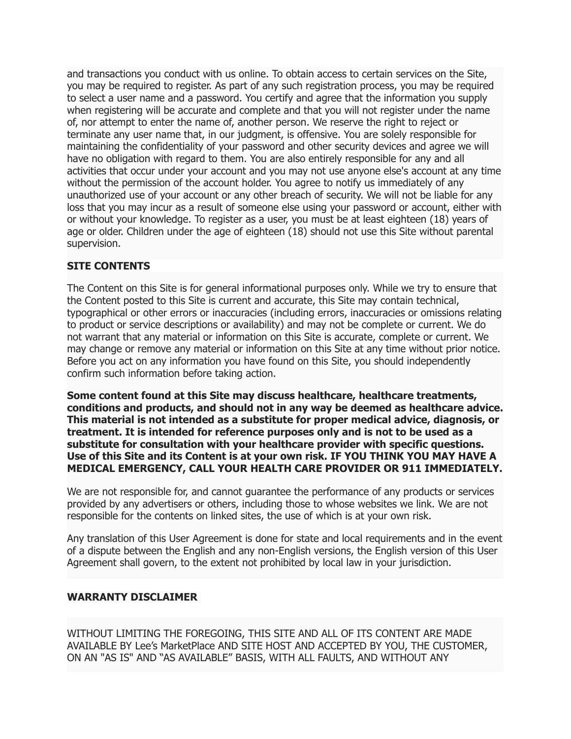and transactions you conduct with us online. To obtain access to certain services on the Site, you may be required to register. As part of any such registration process, you may be required to select a user name and a password. You certify and agree that the information you supply when registering will be accurate and complete and that you will not register under the name of, nor attempt to enter the name of, another person. We reserve the right to reject or terminate any user name that, in our judgment, is offensive. You are solely responsible for maintaining the confidentiality of your password and other security devices and agree we will have no obligation with regard to them. You are also entirely responsible for any and all activities that occur under your account and you may not use anyone else's account at any time without the permission of the account holder. You agree to notify us immediately of any unauthorized use of your account or any other breach of security. We will not be liable for any loss that you may incur as a result of someone else using your password or account, either with or without your knowledge. To register as a user, you must be at least eighteen (18) years of age or older. Children under the age of eighteen (18) should not use this Site without parental supervision.

# **SITE CONTENTS**

The Content on this Site is for general informational purposes only. While we try to ensure that the Content posted to this Site is current and accurate, this Site may contain technical, typographical or other errors or inaccuracies (including errors, inaccuracies or omissions relating to product or service descriptions or availability) and may not be complete or current. We do not warrant that any material or information on this Site is accurate, complete or current. We may change or remove any material or information on this Site at any time without prior notice. Before you act on any information you have found on this Site, you should independently confirm such information before taking action.

**Some content found at this Site may discuss healthcare, healthcare treatments, conditions and products, and should not in any way be deemed as healthcare advice. This material is not intended as a substitute for proper medical advice, diagnosis, or treatment. It is intended for reference purposes only and is not to be used as a substitute for consultation with your healthcare provider with specific questions. Use of this Site and its Content is at your own risk. IF YOU THINK YOU MAY HAVE A MEDICAL EMERGENCY, CALL YOUR HEALTH CARE PROVIDER OR 911 IMMEDIATELY.**

We are not responsible for, and cannot guarantee the performance of any products or services provided by any advertisers or others, including those to whose websites we link. We are not responsible for the contents on linked sites, the use of which is at your own risk.

Any translation of this User Agreement is done for state and local requirements and in the event of a dispute between the English and any non-English versions, the English version of this User Agreement shall govern, to the extent not prohibited by local law in your jurisdiction.

# **WARRANTY DISCLAIMER**

WITHOUT LIMITING THE FOREGOING, THIS SITE AND ALL OF ITS CONTENT ARE MADE AVAILABLE BY Lee's MarketPlace AND SITE HOST AND ACCEPTED BY YOU, THE CUSTOMER, ON AN "AS IS" AND "AS AVAILABLE" BASIS, WITH ALL FAULTS, AND WITHOUT ANY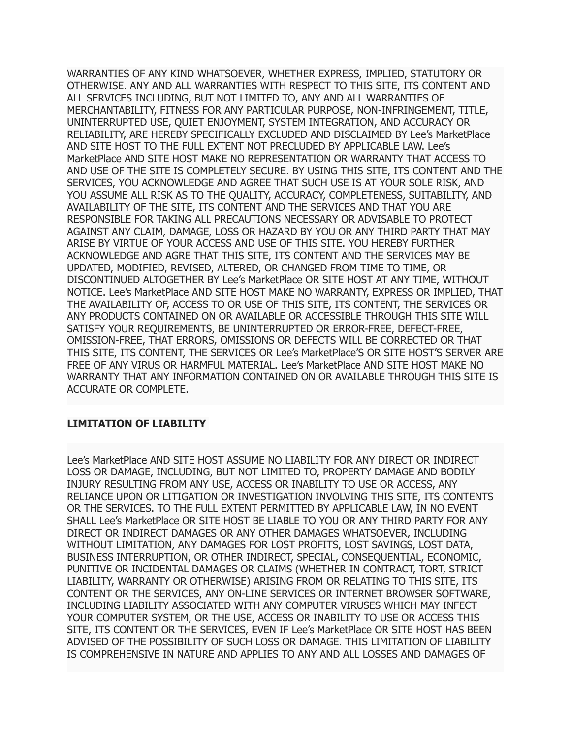WARRANTIES OF ANY KIND WHATSOEVER, WHETHER EXPRESS, IMPLIED, STATUTORY OR OTHERWISE. ANY AND ALL WARRANTIES WITH RESPECT TO THIS SITE, ITS CONTENT AND ALL SERVICES INCLUDING, BUT NOT LIMITED TO, ANY AND ALL WARRANTIES OF MERCHANTABILITY, FITNESS FOR ANY PARTICULAR PURPOSE, NON-INFRINGEMENT, TITLE, UNINTERRUPTED USE, QUIET ENJOYMENT, SYSTEM INTEGRATION, AND ACCURACY OR RELIABILITY, ARE HEREBY SPECIFICALLY EXCLUDED AND DISCLAIMED BY Lee's MarketPlace AND SITE HOST TO THE FULL EXTENT NOT PRECLUDED BY APPLICABLE LAW. Lee's MarketPlace AND SITE HOST MAKE NO REPRESENTATION OR WARRANTY THAT ACCESS TO AND USE OF THE SITE IS COMPLETELY SECURE. BY USING THIS SITE, ITS CONTENT AND THE SERVICES, YOU ACKNOWLEDGE AND AGREE THAT SUCH USE IS AT YOUR SOLE RISK, AND YOU ASSUME ALL RISK AS TO THE QUALITY, ACCURACY, COMPLETENESS, SUITABILITY, AND AVAILABILITY OF THE SITE, ITS CONTENT AND THE SERVICES AND THAT YOU ARE RESPONSIBLE FOR TAKING ALL PRECAUTIONS NECESSARY OR ADVISABLE TO PROTECT AGAINST ANY CLAIM, DAMAGE, LOSS OR HAZARD BY YOU OR ANY THIRD PARTY THAT MAY ARISE BY VIRTUE OF YOUR ACCESS AND USE OF THIS SITE. YOU HEREBY FURTHER ACKNOWLEDGE AND AGRE THAT THIS SITE, ITS CONTENT AND THE SERVICES MAY BE UPDATED, MODIFIED, REVISED, ALTERED, OR CHANGED FROM TIME TO TIME, OR DISCONTINUED ALTOGETHER BY Lee's MarketPlace OR SITE HOST AT ANY TIME, WITHOUT NOTICE. Lee's MarketPlace AND SITE HOST MAKE NO WARRANTY, EXPRESS OR IMPLIED, THAT THE AVAILABILITY OF, ACCESS TO OR USE OF THIS SITE, ITS CONTENT, THE SERVICES OR ANY PRODUCTS CONTAINED ON OR AVAILABLE OR ACCESSIBLE THROUGH THIS SITE WILL SATISFY YOUR REQUIREMENTS, BE UNINTERRUPTED OR ERROR-FREE, DEFECT-FREE, OMISSION-FREE, THAT ERRORS, OMISSIONS OR DEFECTS WILL BE CORRECTED OR THAT THIS SITE, ITS CONTENT, THE SERVICES OR Lee's MarketPlace'S OR SITE HOST'S SERVER ARE FREE OF ANY VIRUS OR HARMFUL MATERIAL. Lee's MarketPlace AND SITE HOST MAKE NO WARRANTY THAT ANY INFORMATION CONTAINED ON OR AVAILABLE THROUGH THIS SITE IS ACCURATE OR COMPLETE.

# **LIMITATION OF LIABILITY**

Lee's MarketPlace AND SITE HOST ASSUME NO LIABILITY FOR ANY DIRECT OR INDIRECT LOSS OR DAMAGE, INCLUDING, BUT NOT LIMITED TO, PROPERTY DAMAGE AND BODILY INJURY RESULTING FROM ANY USE, ACCESS OR INABILITY TO USE OR ACCESS, ANY RELIANCE UPON OR LITIGATION OR INVESTIGATION INVOLVING THIS SITE, ITS CONTENTS OR THE SERVICES. TO THE FULL EXTENT PERMITTED BY APPLICABLE LAW, IN NO EVENT SHALL Lee's MarketPlace OR SITE HOST BE LIABLE TO YOU OR ANY THIRD PARTY FOR ANY DIRECT OR INDIRECT DAMAGES OR ANY OTHER DAMAGES WHATSOEVER, INCLUDING WITHOUT LIMITATION, ANY DAMAGES FOR LOST PROFITS, LOST SAVINGS, LOST DATA, BUSINESS INTERRUPTION, OR OTHER INDIRECT, SPECIAL, CONSEQUENTIAL, ECONOMIC, PUNITIVE OR INCIDENTAL DAMAGES OR CLAIMS (WHETHER IN CONTRACT, TORT, STRICT LIABILITY, WARRANTY OR OTHERWISE) ARISING FROM OR RELATING TO THIS SITE, ITS CONTENT OR THE SERVICES, ANY ON-LINE SERVICES OR INTERNET BROWSER SOFTWARE, INCLUDING LIABILITY ASSOCIATED WITH ANY COMPUTER VIRUSES WHICH MAY INFECT YOUR COMPUTER SYSTEM, OR THE USE, ACCESS OR INABILITY TO USE OR ACCESS THIS SITE, ITS CONTENT OR THE SERVICES, EVEN IF Lee's MarketPlace OR SITE HOST HAS BEEN ADVISED OF THE POSSIBILITY OF SUCH LOSS OR DAMAGE. THIS LIMITATION OF LIABILITY IS COMPREHENSIVE IN NATURE AND APPLIES TO ANY AND ALL LOSSES AND DAMAGES OF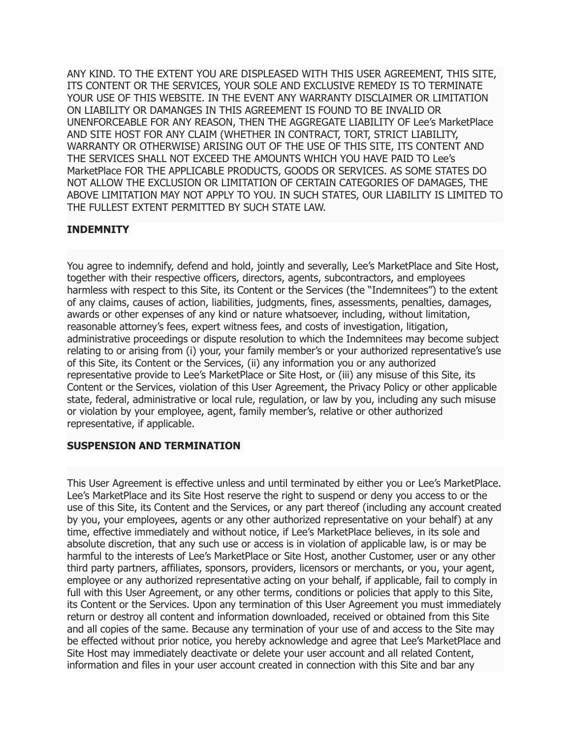ANY KIND. TO THE EXTENT YOU ARE DISPLEASED WITH THIS USER AGREEMENT, THIS SITE, ITS CONTENT OR THE SERVICES, YOUR SOLE AND EXCLUSIVE REMEDY IS TO TERMINATE YOUR USE OF THIS WEBSITE. IN THE EVENT ANY WARRANTY DISCLAIMER OR LIMITATION ON LIABILITY OR DAMANGES IN THIS AGREEMENT IS FOUND TO BE INVALID OR UNENFORCEABLE FOR ANY REASON, THEN THE AGGREGATE LIABILITY OF Lee's MarketPlace AND SITE HOST FOR ANY CLAIM (WHETHER IN CONTRACT, TORT, STRICT LIABILITY, WARRANTY OR OTHERWISE) ARISING OUT OF THE USE OF THIS SITE, ITS CONTENT AND THE SERVICES SHALL NOT EXCEED THE AMOUNTS WHICH YOU HAVE PAID TO Lee's MarketPlace FOR THE APPLICABLE PRODUCTS, GOODS OR SERVICES. AS SOME STATES DO NOT ALLOW THE EXCLUSION OR LIMITATION OF CERTAIN CATEGORIES OF DAMAGES, THE ABOVE LIMITATION MAY NOT APPLY TO YOU. IN SUCH STATES, OUR LIABILITY IS LIMITED TO THE FULLEST EXTENT PERMITTED BY SUCH STATE LAW.

# **INDEMNITY**

You agree to indemnify, defend and hold, jointly and severally, Lee's MarketPlace and Site Host, together with their respective officers, directors, agents, subcontractors, and employees harmless with respect to this Site, its Content or the Services (the "Indemnitees") to the extent of any claims, causes of action, liabilities, judgments, fines, assessments, penalties, damages, awards or other expenses of any kind or nature whatsoever, including, without limitation, reasonable attorney's fees, expert witness fees, and costs of investigation, litigation, administrative proceedings or dispute resolution to which the Indemnitees may become subject relating to or arising from (i) your, your family member's or your authorized representative's use of this Site, its Content or the Services, (ii) any information you or any authorized representative provide to Lee's MarketPlace or Site Host, or (iii) any misuse of this Site, its Content or the Services, violation of this User Agreement, the Privacy Policy or other applicable state, federal, administrative or local rule, regulation, or law by you, including any such misuse or violation by your employee, agent, family member's, relative or other authorized representative, if applicable.

# **SUSPENSION AND TERMINATION**

This User Agreement is effective unless and until terminated by either you or Lee's MarketPlace. Lee's MarketPlace and its Site Host reserve the right to suspend or deny you access to or the use of this Site, its Content and the Services, or any part thereof (including any account created by you, your employees, agents or any other authorized representative on your behalf) at any time, effective immediately and without notice, if Lee's MarketPlace believes, in its sole and absolute discretion, that any such use or access is in violation of applicable law, is or may be harmful to the interests of Lee's MarketPlace or Site Host, another Customer, user or any other third party partners, affiliates, sponsors, providers, licensors or merchants, or you, your agent, employee or any authorized representative acting on your behalf, if applicable, fail to comply in full with this User Agreement, or any other terms, conditions or policies that apply to this Site, its Content or the Services. Upon any termination of this User Agreement you must immediately return or destroy all content and information downloaded, received or obtained from this Site and all copies of the same. Because any termination of your use of and access to the Site may be effected without prior notice, you hereby acknowledge and agree that Lee's MarketPlace and Site Host may immediately deactivate or delete your user account and all related Content, information and files in your user account created in connection with this Site and bar any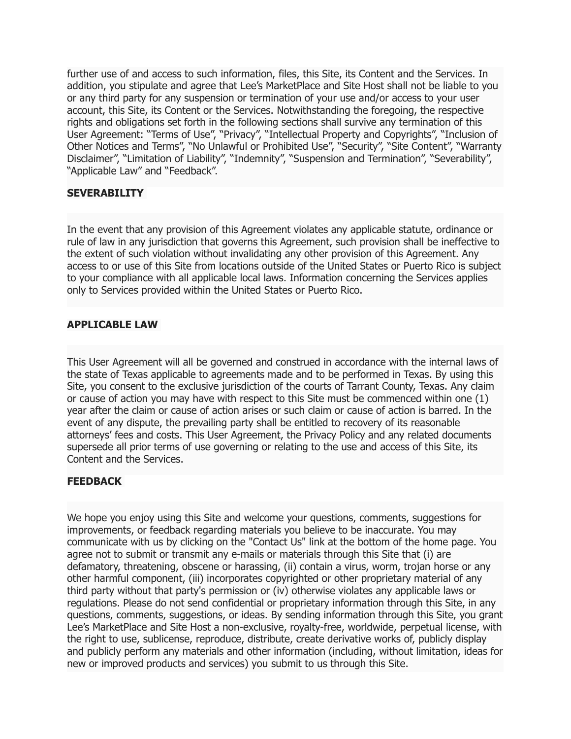further use of and access to such information, files, this Site, its Content and the Services. In addition, you stipulate and agree that Lee's MarketPlace and Site Host shall not be liable to you or any third party for any suspension or termination of your use and/or access to your user account, this Site, its Content or the Services. Notwithstanding the foregoing, the respective rights and obligations set forth in the following sections shall survive any termination of this User Agreement: "Terms of Use", "Privacy", "Intellectual Property and Copyrights", "Inclusion of Other Notices and Terms", "No Unlawful or Prohibited Use", "Security", "Site Content", "Warranty Disclaimer", "Limitation of Liability", "Indemnity", "Suspension and Termination", "Severability", "Applicable Law" and "Feedback".

#### **SEVERABILITY**

In the event that any provision of this Agreement violates any applicable statute, ordinance or rule of law in any jurisdiction that governs this Agreement, such provision shall be ineffective to the extent of such violation without invalidating any other provision of this Agreement. Any access to or use of this Site from locations outside of the United States or Puerto Rico is subject to your compliance with all applicable local laws. Information concerning the Services applies only to Services provided within the United States or Puerto Rico.

#### **APPLICABLE LAW**

This User Agreement will all be governed and construed in accordance with the internal laws of the state of Texas applicable to agreements made and to be performed in Texas. By using this Site, you consent to the exclusive jurisdiction of the courts of Tarrant County, Texas. Any claim or cause of action you may have with respect to this Site must be commenced within one (1) year after the claim or cause of action arises or such claim or cause of action is barred. In the event of any dispute, the prevailing party shall be entitled to recovery of its reasonable attorneys' fees and costs. This User Agreement, the Privacy Policy and any related documents supersede all prior terms of use governing or relating to the use and access of this Site, its Content and the Services.

# **FEEDBACK**

We hope you enjoy using this Site and welcome your questions, comments, suggestions for improvements, or feedback regarding materials you believe to be inaccurate. You may communicate with us by clicking on the "Contact Us" link at the bottom of the home page. You agree not to submit or transmit any e-mails or materials through this Site that (i) are defamatory, threatening, obscene or harassing, (ii) contain a virus, worm, trojan horse or any other harmful component, (iii) incorporates copyrighted or other proprietary material of any third party without that party's permission or (iv) otherwise violates any applicable laws or regulations. Please do not send confidential or proprietary information through this Site, in any questions, comments, suggestions, or ideas. By sending information through this Site, you grant Lee's MarketPlace and Site Host a non-exclusive, royalty-free, worldwide, perpetual license, with the right to use, sublicense, reproduce, distribute, create derivative works of, publicly display and publicly perform any materials and other information (including, without limitation, ideas for new or improved products and services) you submit to us through this Site.